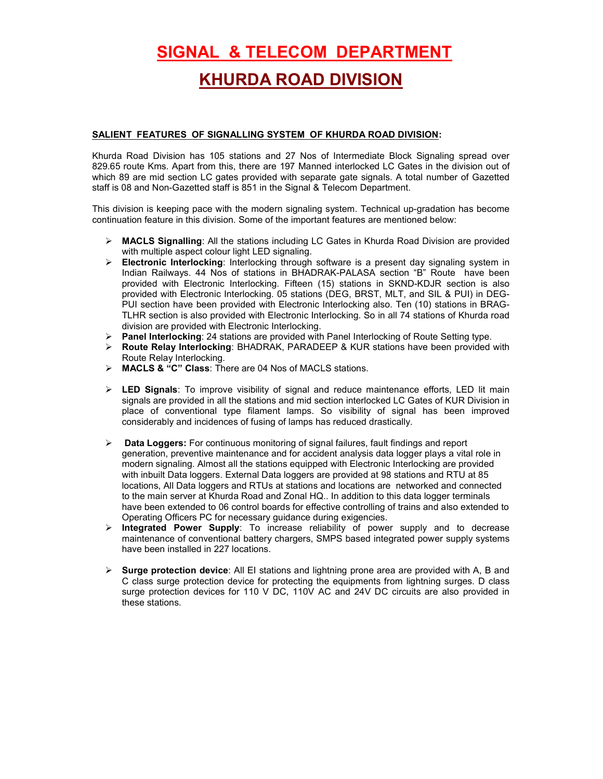# SIGNAL & TELECOM DEPARTMENT

## KHURDA ROAD DIVISION

#### SALIENT FEATURES OF SIGNALLING SYSTEM OF KHURDA ROAD DIVISION:

Khurda Road Division has 105 stations and 27 Nos of Intermediate Block Signaling spread over 829.65 route Kms. Apart from this, there are 197 Manned interlocked LC Gates in the division out of which 89 are mid section LC gates provided with separate gate signals. A total number of Gazetted staff is 08 and Non-Gazetted staff is 851 in the Signal & Telecom Department.

This division is keeping pace with the modern signaling system. Technical up-gradation has become continuation feature in this division. Some of the important features are mentioned below:

- $\triangleright$  **MACLS Signalling**: All the stations including LC Gates in Khurda Road Division are provided with multiple aspect colour light LED signaling.
- $\triangleright$  Electronic Interlocking: Interlocking through software is a present day signaling system in Indian Railways. 44 Nos of stations in BHADRAK-PALASA section "B" Route have been provided with Electronic Interlocking. Fifteen (15) stations in SKND-KDJR section is also provided with Electronic Interlocking. 05 stations (DEG, BRST, MLT, and SIL & PUI) in DEG-PUI section have been provided with Electronic Interlocking also. Ten (10) stations in BRAG-TLHR section is also provided with Electronic Interlocking. So in all 74 stations of Khurda road division are provided with Electronic Interlocking.
- $\triangleright$  Panel Interlocking: 24 stations are provided with Panel Interlocking of Route Setting type.
- Route Relay Interlocking: BHADRAK, PARADEEP & KUR stations have been provided with Route Relay Interlocking.
- > MACLS & "C" Class: There are 04 Nos of MACLS stations.
- $\triangleright$  LED Signals: To improve visibility of signal and reduce maintenance efforts, LED lit main signals are provided in all the stations and mid section interlocked LC Gates of KUR Division in place of conventional type filament lamps. So visibility of signal has been improved considerably and incidences of fusing of lamps has reduced drastically.
- > Data Loggers: For continuous monitoring of signal failures, fault findings and report generation, preventive maintenance and for accident analysis data logger plays a vital role in modern signaling. Almost all the stations equipped with Electronic Interlocking are provided with inbuilt Data loggers. External Data loggers are provided at 98 stations and RTU at 85 locations, All Data loggers and RTUs at stations and locations are networked and connected to the main server at Khurda Road and Zonal HQ.. In addition to this data logger terminals have been extended to 06 control boards for effective controlling of trains and also extended to Operating Officers PC for necessary guidance during exigencies.
- $\triangleright$  Integrated Power Supply: To increase reliability of power supply and to decrease maintenance of conventional battery chargers, SMPS based integrated power supply systems have been installed in 227 locations.
- $\triangleright$  Surge protection device: All EI stations and lightning prone area are provided with A, B and C class surge protection device for protecting the equipments from lightning surges. D class surge protection devices for 110 V DC, 110V AC and 24V DC circuits are also provided in these stations.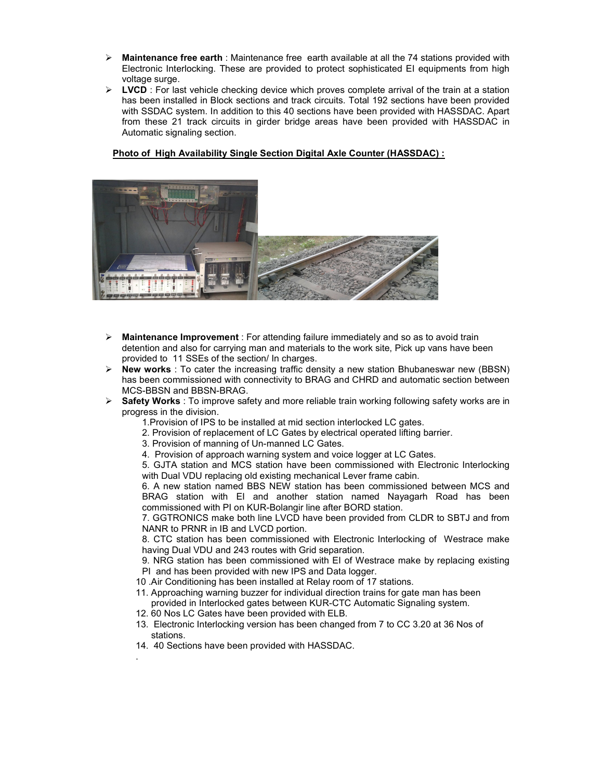- $\triangleright$  Maintenance free earth : Maintenance free earth available at all the 74 stations provided with Electronic Interlocking. These are provided to protect sophisticated EI equipments from high voltage surge.
- $\triangleright$  LVCD : For last vehicle checking device which proves complete arrival of the train at a station has been installed in Block sections and track circuits. Total 192 sections have been provided with SSDAC system. In addition to this 40 sections have been provided with HASSDAC. Apart from these 21 track circuits in girder bridge areas have been provided with HASSDAC in Automatic signaling section.

### Photo of High Availability Single Section Digital Axle Counter (HASSDAC) :



- $\triangleright$  Maintenance Improvement : For attending failure immediately and so as to avoid train detention and also for carrying man and materials to the work site, Pick up vans have been provided to 11 SSEs of the section/ In charges.
- $\triangleright$  New works : To cater the increasing traffic density a new station Bhubaneswar new (BBSN) has been commissioned with connectivity to BRAG and CHRD and automatic section between MCS-BBSN and BBSN-BRAG.
- $\triangleright$  Safety Works : To improve safety and more reliable train working following safety works are in progress in the division.
	- 1.Provision of IPS to be installed at mid section interlocked LC gates.
	- 2. Provision of replacement of LC Gates by electrical operated lifting barrier.
	- 3. Provision of manning of Un-manned LC Gates.
	- 4. Provision of approach warning system and voice logger at LC Gates.

5. GJTA station and MCS station have been commissioned with Electronic Interlocking with Dual VDU replacing old existing mechanical Lever frame cabin.

6. A new station named BBS NEW station has been commissioned between MCS and BRAG station with EI and another station named Nayagarh Road has been commissioned with PI on KUR-Bolangir line after BORD station.

7. GGTRONICS make both line LVCD have been provided from CLDR to SBTJ and from NANR to PRNR in IB and LVCD portion.

8. CTC station has been commissioned with Electronic Interlocking of Westrace make having Dual VDU and 243 routes with Grid separation.

- 9. NRG station has been commissioned with EI of Westrace make by replacing existing PI and has been provided with new IPS and Data logger.
- 10 .Air Conditioning has been installed at Relay room of 17 stations.
- 11. Approaching warning buzzer for individual direction trains for gate man has been provided in Interlocked gates between KUR-CTC Automatic Signaling system.
- 12. 60 Nos LC Gates have been provided with ELB.
- 13. Electronic Interlocking version has been changed from 7 to CC 3.20 at 36 Nos of stations.
- 14. 40 Sections have been provided with HASSDAC.

.